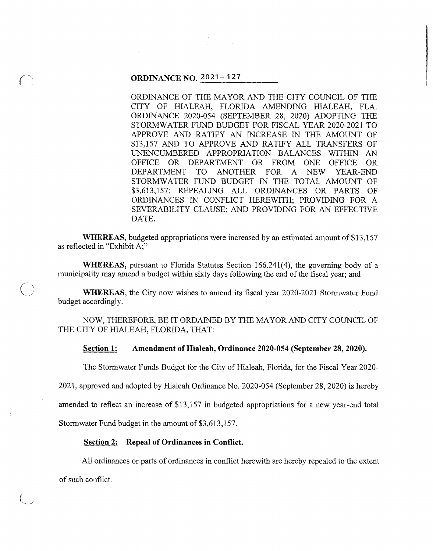#### **ORDINANCE NO. 2021- 127**

 $\bigcap$ 

 $\overline{(\ )}$ 

ORDINANCE OF THE MAYOR AND THE CITY COUNCIL OF THE CITY OF HIALEAH, FLORIDA AMENDING HIALEAH, FLA. ORDINANCE 2020-054 (SEPTEMBER 28, 2020) ADOPTING THE STORMWATER FUND BUDGET FOR FISCAL YEAR 2020-2021 TO APPROVE AND RATIFY AN INCREASE IN THE AMOUNT OF \$13,157 AND TO APPROVE AND RATIFY ALL TRANSFERS OF UNENCUMBERED APPROPRIATION BALANCES WITHIN AN OFFICE OR DEPARTMENT OR FROM ONE OFFICE OR DEPARTMENT TO ANOTHER FOR A NEW YEAR-END STORMWATER FUND BUDGET IN THE TOTAL AMOUNT OF \$3,613,157; REPEALING ALL ORDINANCES OR PARTS OF ORDINANCES IN CONFLICT HEREWITH; PROVIDING FOR A SEVERABILITY CLAUSE; AND PROVIDING FOR AN EFFECTIVE DATE.

**WHEREAS,** budgeted appropriations were increased by an estimated amount of \$13, 157 as reflected in "Exhibit A;"

**WHEREAS,** pursuant to Florida Statutes Section 166.241(4), the governing body of a municipality may amend a budget within sixty days following the end of the fiscal year; and

**WHEREAS,** the City now wishes to amend its fiscal year 2020-2021 Stormwater Fund budget accordingly.

NOW, THEREFORE, BE IT ORDAINED BY THE MAYOR AND CITY COUNCIL OF THE CITY OF HIALEAH, FLORIDA, THAT:

**Section 1: Amendment of Hialeah, Ordinance 2020-054 (September 28, 2020).** 

The Stormwater Funds Budget for the City of Hialeah, Florida, for the Fiscal Year 2020-

2021, approved and adopted by Hialeah Ordinance No. 2020-054 (September 28, 2020) is hereby

amended to reflect an increase of \$13,157 in budgeted appropriations for a new year-end total

Stormwater Fund budget in the amount of \$3,613,157.

#### **Section 2: Repeal of Ordinances in Conflict.**

All ordinances or parts of ordinances in conflict herewith are hereby repealed to the extent of such conflict.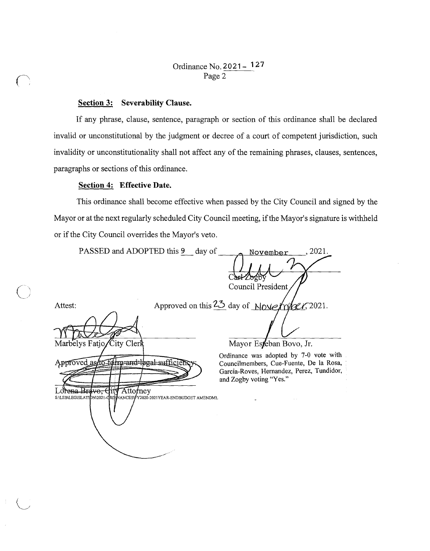## Ordinance No. 2021- 127 Page 2

### **Section 3: Severability Clause.**

If any phrase, clause, sentence, paragraph or section of this ordinance shall be declared invalid or unconstitutional by the judgment or decree of a court of competent jurisdiction, such invalidity or unconstitutionality shall not affect any of the remaining phrases, clauses, sentences, paragraphs or sections of this ordinance.

### **Section 4: Effective Date.**

This ordinance shall become effective when passed by the City Council and signed by the Mayor or at the next regularly scheduled City Council meeting, if the Mayor's signature is withheld or if the City Council overrides the Mayor's veto.

PASSED and ADOPTED this 9 day of 2021. November Council President Approved on this 23 day of November, 2021. Attest: Marbelys Fatjo City Cler Mayor Esteban Bovo, Jr. Ordinance was adopted by 7-0 vote with Approved as to førm-and-legal-suffi Councilmembers, Cue-Fuente, De la Rosa, Garcia-Roves, Hernandez, Perez, Tundidor, and Zogby voting "Yes." Attorney Lorena Bravo. C ιţγ S:\LEB\LEGISLATIDN\2021-CRD VANCES\ Y2020-2021YEAR-ENDBUDGET AMENDML